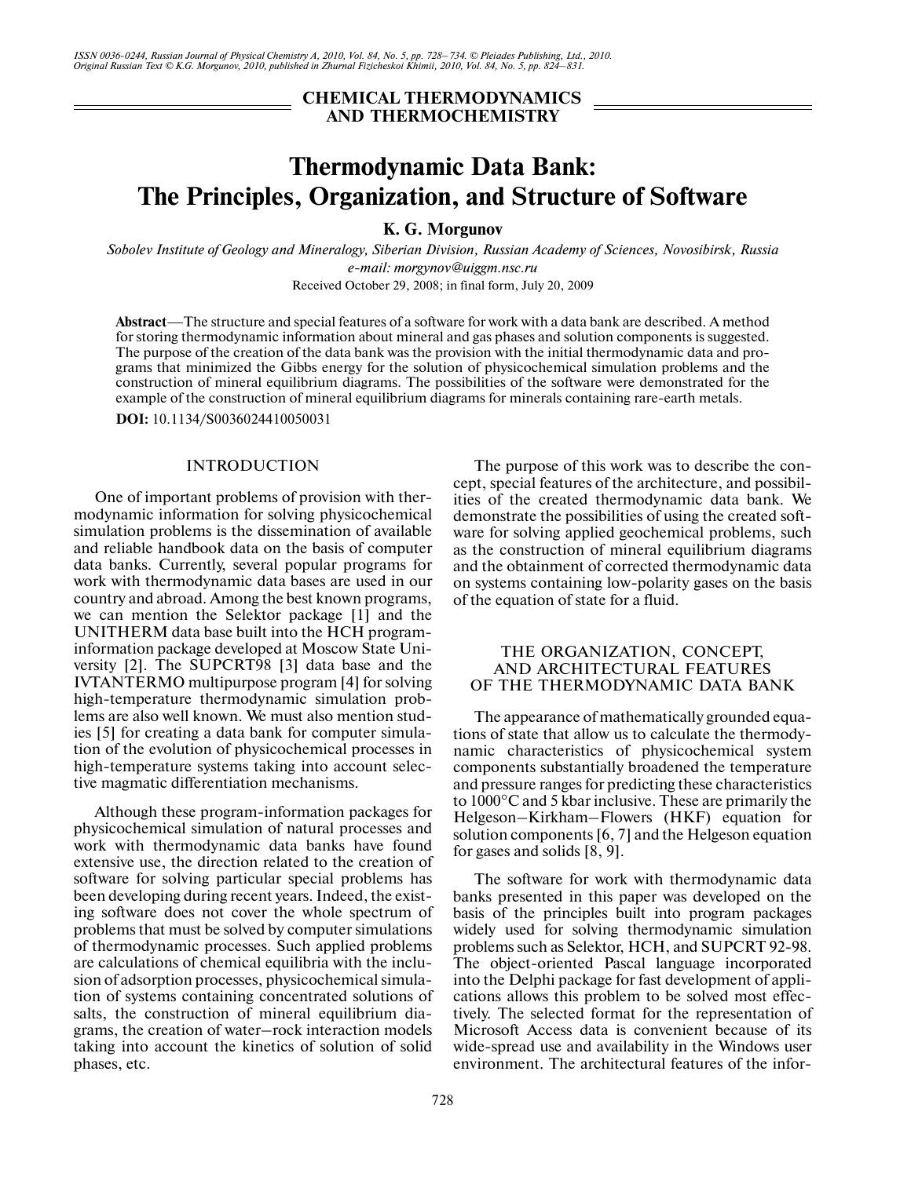*ISSN 0036-0244, Russian Journal of Physical Chemistry A, 2010, Vol. 84, No. 5, pp. 728–734. © Pleiades Publishing, Ltd., 2010. Original Russian Text © K.G. Morgunov, 2010, published in Zhurnal Fizicheskoi Khimii, 2010, Vol. 84, No. 5, pp. 824–831.*

# **CHEMICAL THERMODYNAMICS AND THERMOCHEMISTRY**

# **Thermodynamic Data Bank: The Principles, Organization, and Structure of Software**

**K. G. Morgunov**

*Sobolev Institute of Geology and Mineralogy, Siberian Division, Russian Academy of Sciences, Novosibirsk, Russia e-mail: morgynov@uiggm.nsc.ru*

Received October 29, 2008; in final form, July 20, 2009

**Abstract**—The structure and special features of a software for work with a data bank are described. A method for storing thermodynamic information about mineral and gas phases and solution components is suggested. The purpose of the creation of the data bank was the provision with the initial thermodynamic data and pro grams that minimized the Gibbs energy for the solution of physicochemical simulation problems and the construction of mineral equilibrium diagrams. The possibilities of the software were demonstrated for the example of the construction of mineral equilibrium diagrams for minerals containing rare-earth metals.

**DOI:** 10.1134/S0036024410050031

#### INTRODUCTION

One of important problems of provision with ther modynamic information for solving physicochemical simulation problems is the dissemination of available and reliable handbook data on the basis of computer data banks. Currently, several popular programs for work with thermodynamic data bases are used in our country and abroad. Among the best known programs, we can mention the Selektor package [1] and the UNITHERM data base built into the HCH program information package developed at Moscow State Uni versity [2]. The SUPCRT98 [3] data base and the IVTANTERMO multipurpose program [4] for solving high-temperature thermodynamic simulation prob lems are also well known. We must also mention stud ies [5] for creating a data bank for computer simula tion of the evolution of physicochemical processes in high-temperature systems taking into account selec tive magmatic differentiation mechanisms.

Although these program-information packages for physicochemical simulation of natural processes and work with thermodynamic data banks have found extensive use, the direction related to the creation of software for solving particular special problems has been developing during recent years. Indeed, the exist ing software does not cover the whole spectrum of problems that must be solved by computer simulations of thermodynamic processes. Such applied problems are calculations of chemical equilibria with the inclu sion of adsorption processes, physicochemical simula tion of systems containing concentrated solutions of salts, the construction of mineral equilibrium dia grams, the creation of water–rock interaction models taking into account the kinetics of solution of solid phases, etc.

The purpose of this work was to describe the con cept, special features of the architecture, and possibil ities of the created thermodynamic data bank. We demonstrate the possibilities of using the created soft ware for solving applied geochemical problems, such as the construction of mineral equilibrium diagrams and the obtainment of corrected thermodynamic data on systems containing low-polarity gases on the basis of the equation of state for a fluid.

#### THE ORGANIZATION, CONCEPT, AND ARCHITECTURAL FEATURES OF THE THERMODYNAMIC DATA BANK

The appearance of mathematically grounded equa tions of state that allow us to calculate the thermody namic characteristics of physicochemical system components substantially broadened the temperature and pressure ranges for predicting these characteristics to 1000°C and 5 kbar inclusive. These are primarily the Helgeson–Kirkham–Flowers (HKF) equation for solution components [6, 7] and the Helgeson equation for gases and solids [8, 9].

The software for work with thermodynamic data banks presented in this paper was developed on the basis of the principles built into program packages widely used for solving thermodynamic simulation problems such as Selektor, HCH, and SUPCRT 92-98. The object-oriented Pascal language incorporated into the Delphi package for fast development of appli cations allows this problem to be solved most effec tively. The selected format for the representation of Microsoft Access data is convenient because of its wide-spread use and availability in the Windows user environment. The architectural features of the infor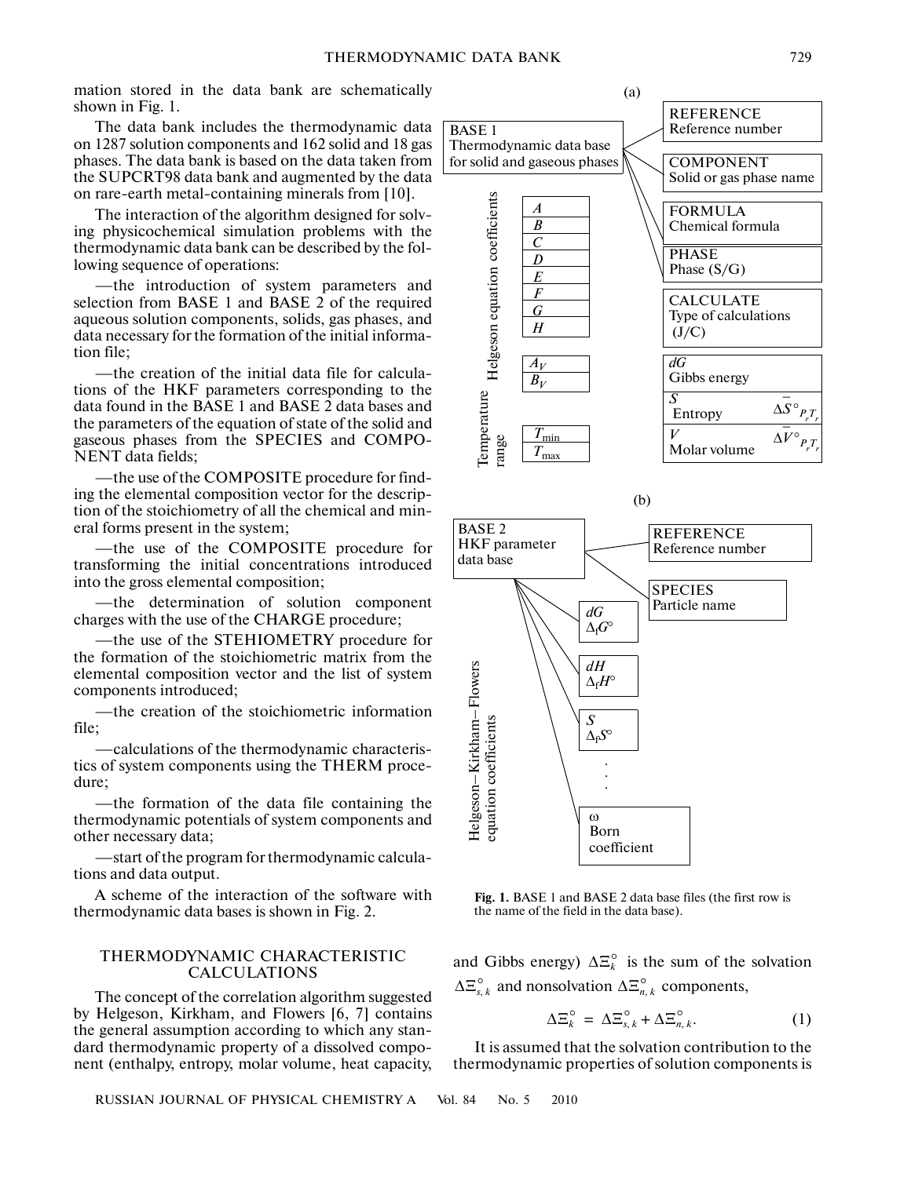mation stored in the data bank are schematically shown in Fig. 1.

The data bank includes the thermodynamic data on 1287 solution components and 162 solid and 18 gas phases. The data bank is based on the data taken from the SUPCRT98 data bank and augmented by the data on rare-earth metal-containing minerals from [10].

The interaction of the algorithm designed for solv ing physicochemical simulation problems with the thermodynamic data bank can be described by the fol lowing sequence of operations:

—the introduction of system parameters and selection from BASE 1 and BASE 2 of the required aqueous solution components, solids, gas phases, and data necessary for the formation of the initial informa tion file;

—the creation of the initial data file for calcula tions of the HKF parameters corresponding to the data found in the BASE 1 and BASE 2 data bases and the parameters of the equation of state of the solid and gaseous phases from the SPECIES and COMPO- NENT data fields;

—the use of the COMPOSITE procedure for find ing the elemental composition vector for the description of the stoichiometry of all the chemical and min eral forms present in the system;

—the use of the COMPOSITE procedure for transforming the initial concentrations introduced into the gross elemental composition;

—the determination of solution component charges with the use of the CHARGE procedure;

—the use of the STEHIOMETRY procedure for the formation of the stoichiometric matrix from the elemental composition vector and the list of system components introduced;

—the creation of the stoichiometric information file;

—calculations of the thermodynamic characteris tics of system components using the THERM proce dure;

—the formation of the data file containing the thermodynamic potentials of system components and other necessary data;

—start of the program for thermodynamic calcula tions and data output.

A scheme of the interaction of the software with thermodynamic data bases is shown in Fig. 2.

# THERMODYNAMIC CHARACTERISTIC CALCULATIONS

The concept of the correlation algorithm suggested by Helgeson, Kirkham, and Flowers [6, 7] contains the general assumption according to which any stan dard thermodynamic property of a dissolved compo nent (enthalpy, entropy, molar volume, heat capacity,





**Fig. 1.** BASE 1 and BASE 2 data base files (the first row is the name of the field in the data base).

and Gibbs energy)  $\Delta \Xi_k^{\circ}$  is the sum of the solvation  $\Delta \Xi_{s,k}^{\circ}$  and nonsolvation  $\Delta \Xi_{n,k}^{\circ}$  components,

$$
\Delta \Xi_k^{\circ} = \Delta \Xi_{s,k}^{\circ} + \Delta \Xi_{n,k}^{\circ}.
$$
 (1)

It is assumed that the solvation contribution to the thermodynamic properties of solution components is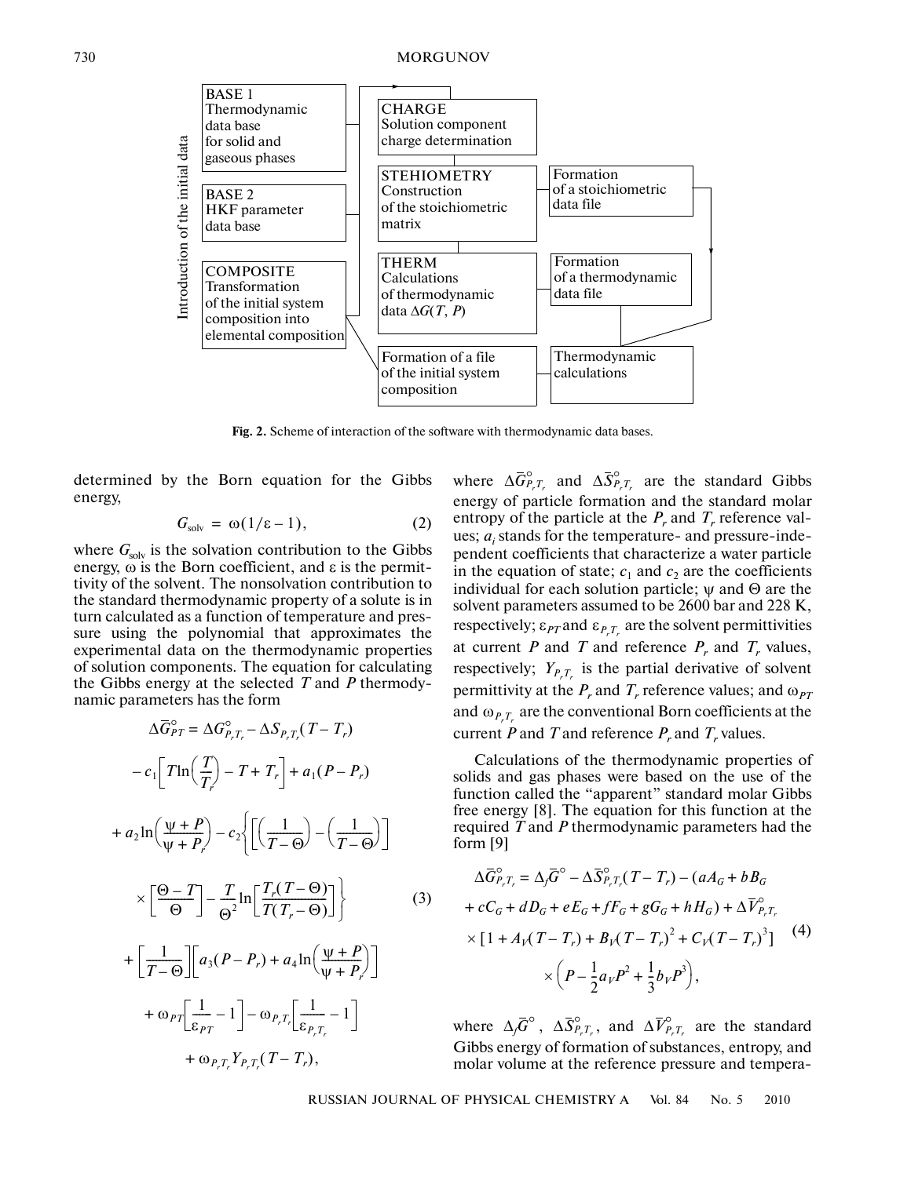

**Fig. 2.** Scheme of interaction of the software with thermodynamic data bases.

determined by the Born equation for the Gibbs energy,

$$
G_{\text{solv}} = \omega(1/\epsilon - 1), \tag{2}
$$

where  $G_{\text{solv}}$  is the solvation contribution to the Gibbs energy,  $\omega$  is the Born coefficient, and  $\varepsilon$  is the permittivity of the solvent. The nonsolvation contribution to the standard thermodynamic property of a solute is in turn calculated as a function of temperature and pres sure using the polynomial that approximates the experimental data on the thermodynamic properties of solution components. The equation for calculating the Gibbs energy at the selected *T* and *P* thermody namic parameters has the form

$$
\Delta \overline{G}_{PT}^{\circ} = \Delta G_{P,T,-}^{\circ} - \Delta S_{P,T,r}(T - T_r)
$$

$$
- c_1 \left[ T \ln \left( \frac{T}{T} \right) - T + T_r \right] + a_1 (P - P_r)
$$

$$
+ a_2 \ln \left( \frac{\psi + P}{\psi + P_r} \right) - c_2 \left\{ \left[ \left( \frac{1}{T - \Theta} \right) - \left( \frac{1}{T - \Theta} \right) \right] \right\}
$$

$$
\times \left[ \frac{\Theta - T}{\Theta} \right] - \frac{T}{\Theta^2} \ln \left[ \frac{T_r (T - \Theta)}{T (T_r - \Theta)} \right] \right\}
$$
(3)
$$
+ \left[ \frac{1}{T - \Theta} \right] \left[ a_3 (P - P_r) + a_4 \ln \left( \frac{\psi + P}{\psi + P_r} \right) \right]
$$

$$
+ \omega_{PT} \left[ \frac{1}{\varepsilon_{PT}} - 1 \right] - \omega_{P,T_r} \left[ \frac{1}{\varepsilon_{P,T_r}} - 1 \right]
$$

$$
+ \omega_{P,T_r} Y_{P,T_r} (T - T_r),
$$

where  $\Delta \overline{G}^{\circ}_{P,\mathcal{I}_r}$  and  $\Delta \overline{S}^{\circ}_{P,\mathcal{I}_r}$  are the standard Gibbs energy of particle formation and the standard molar entropy of the particle at the  $P_r$  and  $T_r$  reference values;  $a_i$  stands for the temperature- and pressure-independent coefficients that characterize a water particle in the equation of state;  $c_1$  and  $c_2$  are the coefficients individual for each solution particle;  $\psi$  and  $\Theta$  are the solvent parameters assumed to be 2600 bar and 228 K, respectively;  $\varepsilon_{PT}$  and  $\varepsilon_{P,T_r}$  are the solvent permittivities at current *P* and *T* and reference  $P_r$  and  $T_r$  values, respectively;  $Y_{P,T_r}$  is the partial derivative of solvent permittivity at the  $P_r$  and  $T_r$  reference values; and  $\omega_{PT}$ and  $\omega_{P_{r}T_{r}}$  are the conventional Born coefficients at the current *P* and *T* and reference  $P_r$  and  $T_r$  values.

Calculations of the thermodynamic properties of solids and gas phases were based on the use of the function called the "apparent" standard molar Gibbs free energy [8]. The equation for this function at the required *T* and *P* thermodynamic parameters had the form [9]

$$
\Delta \overline{G}_{P,T_r}^{\circ} = \Delta_j \overline{G}^{\circ} - \Delta \overline{S}_{P,T_r}^{\circ} (T - T_r) - (aA_G + bB_G)
$$
  
+  $cC_G + dD_G + eE_G + fF_G + gG_G + hH_G) + \Delta \overline{V}_{P,T_r}^{\circ}$   

$$
\times [1 + A_V (T - T_r) + B_V (T - T_r)^2 + C_V (T - T_r)^3] \times (P - \frac{1}{2} a_V P^2 + \frac{1}{3} b_V P^3),
$$
 (4)

where  $\Delta_j \overline{G}^{\circ}$ ,  $\Delta \overline{S}_{P,T_r}^{\circ}$ , and  $\Delta \overline{V}_{P,T_r}^{\circ}$  are the standard Gibbs energy of formation of substances, entropy, and molar volume at the reference pressure and tempera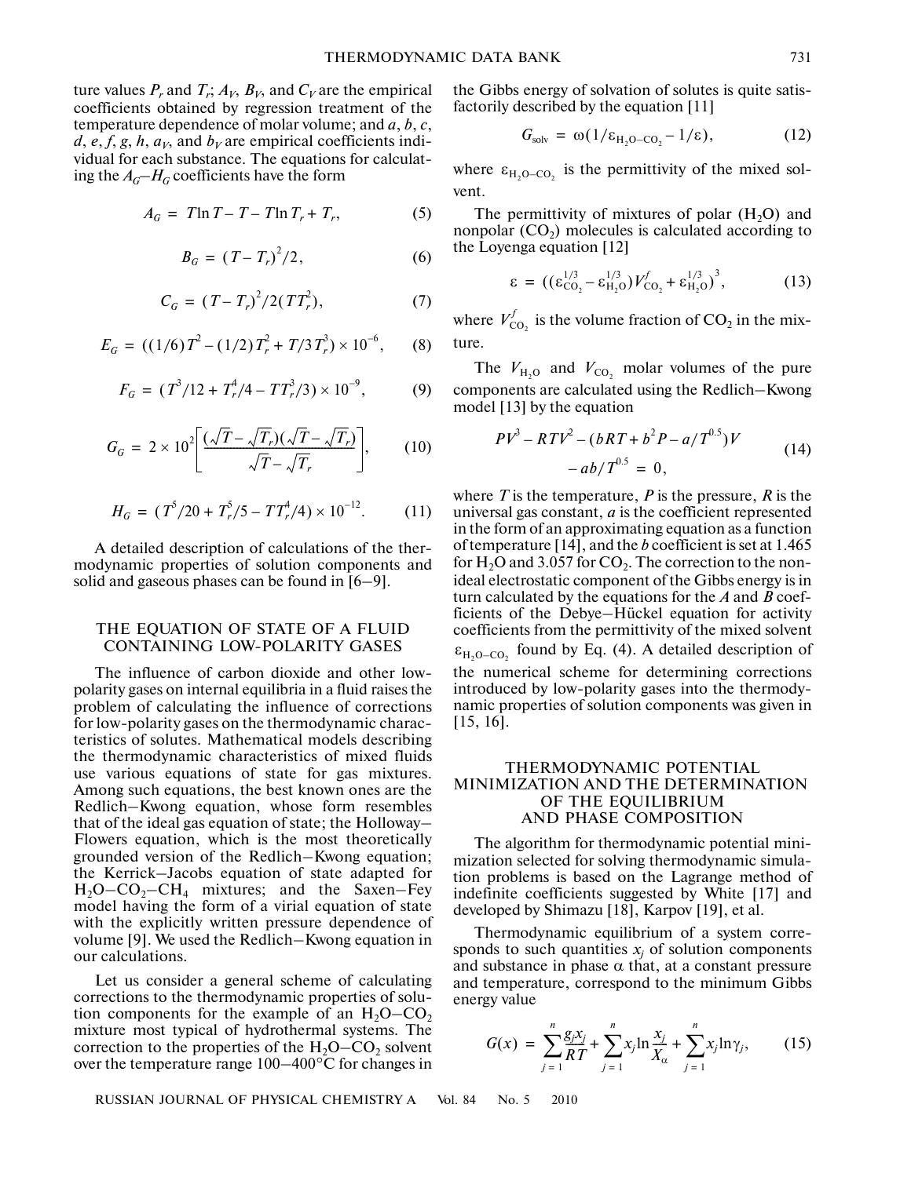ture values  $P_r$  and  $T_r$ ;  $A_V$ ,  $B_V$ , and  $C_V$  are the empirical coefficients obtained by regression treatment of the temperature dependence of molar volume; and *a*, *b*, *c*,  $d$ ,  $e$ ,  $f$ ,  $g$ ,  $h$ ,  $a<sub>V</sub>$ , and  $b<sub>V</sub>$  are empirical coefficients individual for each substance. The equations for calculat ing the  $A_G$ – $H_G$  coefficients have the form

$$
A_G = T \ln T - T - T \ln T_r + T_r, \qquad (5)
$$

$$
B_G = (T - T_r)^2 / 2, \t\t(6)
$$

$$
C_G = (T - T_r)^2 / 2(TT_r^2), \tag{7}
$$

$$
E_G = ((1/6)T^2 - (1/2)T_r^2 + T/3T_r^3) \times 10^{-6}, \qquad (8)
$$

$$
F_G = (T^3/12 + T^4_r/4 - TT^3_r/3) \times 10^{-9},
$$
 (9)

$$
G_G = 2 \times 10^2 \left[ \frac{(\sqrt{T} - \sqrt{T_r})(\sqrt{T} - \sqrt{T_r})}{\sqrt{T} - \sqrt{T_r}} \right],\qquad(10)
$$

$$
H_G = (T^5/20 + T_r^5/5 - TT_r^4/4) \times 10^{-12}.
$$
 (11)

A detailed description of calculations of the ther modynamic properties of solution components and solid and gaseous phases can be found in [6–9].

# THE EQUATION OF STATE OF A FLUID CONTAINING LOW-POLARITY GASES

The influence of carbon dioxide and other low polarity gases on internal equilibria in a fluid raises the problem of calculating the influence of corrections for low-polarity gases on the thermodynamic charac teristics of solutes. Mathematical models describing the thermodynamic characteristics of mixed fluids use various equations of state for gas mixtures. Among such equations, the best known ones are the Redlich–Kwong equation, whose form resembles that of the ideal gas equation of state; the Holloway– Flowers equation, which is the most theoretically grounded version of the Redlich–Kwong equation; the Kerrick–Jacobs equation of state adapted for  $H_2O$ –CO<sub>2</sub>–CH<sub>4</sub> mixtures; and the Saxen–Fey model having the form of a virial equation of state with the explicitly written pressure dependence of volume [9]. We used the Redlich–Kwong equation in our calculations.

Let us consider a general scheme of calculating corrections to the thermodynamic properties of solu tion components for the example of an  $H_2O$ –CO<sub>2</sub> mixture most typical of hydrothermal systems. The correction to the properties of the  $H_2O$ –CO<sub>2</sub> solvent over the temperature range 100–400°С for changes in

the Gibbs energy of solvation of solutes is quite satis factorily described by the equation [11]

$$
G_{\text{solv}} = \omega(1/\varepsilon_{\text{H}_2\text{O}-\text{CO}_2} - 1/\varepsilon), \tag{12}
$$

where  $\varepsilon_{H_2O-CO_2}$  is the permittivity of the mixed solvent.

The permittivity of mixtures of polar  $(H<sub>2</sub>O)$  and nonpolar  $(CO<sub>2</sub>)$  molecules is calculated according to the Loyenga equation [12]

$$
\varepsilon = ((\varepsilon_{\text{CO}_2}^{1/3} - \varepsilon_{\text{H}_2\text{O}}^{1/3})V_{\text{CO}_2}^f + \varepsilon_{\text{H}_2\text{O}}^{1/3})^3, \tag{13}
$$

where  $V_{\text{CO}_2}^f$  is the volume fraction of CO<sub>2</sub> in the mixture.

The  $V_{\text{H}_2\text{O}}$  and  $V_{\text{CO}_2}$  molar volumes of the pure components are calculated using the Redlich–Kwong model [13] by the equation

$$
PV3 - RTV2 - (bRT + b2P - a/T0.5)V
$$
  
-ab/T<sup>0.5</sup> = 0, (14)

where  $T$  is the temperature,  $P$  is the pressure,  $R$  is the universal gas constant, *a* is the coefficient represented in the form of an approximating equation as a function of temperature [14], and the *b* coefficient is set at 1.465 for  $H_2O$  and 3.057 for  $CO_2$ . The correction to the nonideal electrostatic component of the Gibbs energy is in turn calculated by the equations for the *A* and *B* coef ficients of the Debye–Hückel equation for activity coefficients from the permittivity of the mixed solvent  $\epsilon_{H_2O-CO_2}$  found by Eq. (4). A detailed description of the numerical scheme for determining corrections introduced by low-polarity gases into the thermody namic properties of solution components was given in [15, 16].

# THERMODYNAMIC POTENTIAL MINIMIZATION AND THE DETERMINATION OF THE EQUILIBRIUM AND PHASE COMPOSITION

The algorithm for thermodynamic potential mini mization selected for solving thermodynamic simula tion problems is based on the Lagrange method of indefinite coefficients suggested by White [17] and developed by Shimazu [18], Karpov [19], et al.

Thermodynamic equilibrium of a system corre sponds to such quantities  $x_j$  of solution components and substance in phase  $\alpha$  that, at a constant pressure and temperature, correspond to the minimum Gibbs energy value

$$
G(x) = \sum_{j=1}^{n} \frac{g_j x_j}{RT} + \sum_{j=1}^{n} x_j \ln \frac{x_j}{X_{\alpha}} + \sum_{j=1}^{n} x_j \ln \gamma_j,
$$
 (15)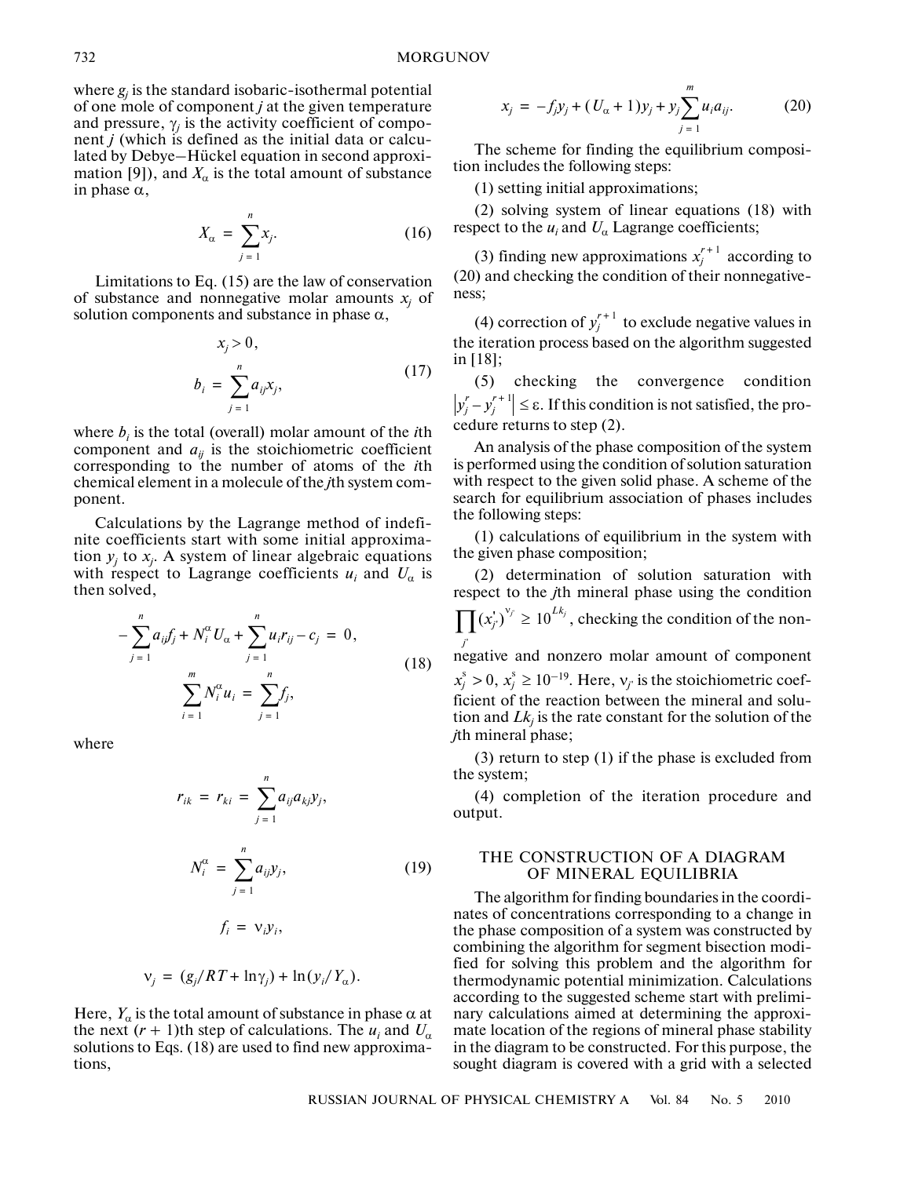where  $g_j$  is the standard isobaric-isothermal potential of one mole of component *j* at the given temperature and pressure,  $\gamma_j$  is the activity coefficient of component *j* (which is defined as the initial data or calcu lated by Debye–Hückel equation in second approxi mation [9]), and  $X_{\alpha}$  is the total amount of substance in phase α,

$$
X_{\alpha} = \sum_{j=1}^{n} x_j.
$$
 (16)

Limitations to Eq. (15) are the law of conservation of substance and nonnegative molar amounts  $x_j$  of solution components and substance in phase  $\alpha$ ,

$$
x_j > 0,
$$
  
\n
$$
b_i = \sum_{j=1}^n a_{ij} x_j,
$$
\n(17)

where  $b_i$  is the total (overall) molar amount of the  $i$ th component and  $a_{ij}$  is the stoichiometric coefficient corresponding to the number of atoms of the *i*th chemical element in a molecule of the *j*th system com ponent.

Calculations by the Lagrange method of indefi nite coefficients start with some initial approxima tion  $y_j$  to  $x_j$ . A system of linear algebraic equations with respect to Lagrange coefficients  $u_i$  and  $U_\alpha$  is then solved,

$$
-\sum_{j=1}^{n} a_{ij} f_j + N_i^{\alpha} U_{\alpha} + \sum_{j=1}^{n} u_j r_{ij} - c_j = 0,
$$
  

$$
\sum_{i=1}^{m} N_i^{\alpha} u_i = \sum_{j=1}^{n} f_j,
$$
 (18)

where

$$
r_{ik} = r_{ki} = \sum_{j=1}^{n} a_{ij} a_{kj} y_j,
$$
  

$$
N_i^{\alpha} = \sum_{j=1}^{n} a_{ij} y_j,
$$
 (19)

$$
f_i = \mathsf{v}_i \mathsf{y}_i,
$$

$$
v_j = (g_j/RT + \ln \gamma_j) + \ln (y_i/Y_\alpha).
$$

Here,  $Y_{\alpha}$  is the total amount of substance in phase  $\alpha$  at the next  $(r + 1)$ th step of calculations. The  $u_i$  and  $U_\alpha$ solutions to Eqs. (18) are used to find new approxima tions,

$$
x_j = -f_j y_j + (U_\alpha + 1) y_j + y_j \sum_{j=1}^m u_i a_{ij}.
$$
 (20)

The scheme for finding the equilibrium composi tion includes the following steps:

(1) setting initial approximations;

(2) solving system of linear equations (18) with respect to the  $u_i$  and  $U_\alpha$  Lagrange coefficients;

(3) finding new approximations  $x_j^{r+1}$  according to (20) and checking the condition of their nonnegative ness;

(4) correction of  $y_j^{r+1}$  to exclude negative values in the iteration process based on the algorithm suggested in [18];

(5) checking the convergence condition  $y_j^r - y_j^{r+1} \le \varepsilon$ . If this condition is not satisfied, the procedure returns to step (2).

An analysis of the phase composition of the system is performed using the condition of solution saturation with respect to the given solid phase. A scheme of the search for equilibrium association of phases includes the following steps:

(1) calculations of equilibrium in the system with the given phase composition;

(2) determination of solution saturation with respect to the *j*th mineral phase using the condition

 $\prod (x'_j)^{v_j} \ge 10^{Lk_j}$ , checking the condition of the non-

negative and nonzero molar amount of component *j*'  $x_j^s > 0$ ,  $x_j^s \ge 10^{-19}$ . Here,  $v_j$  is the stoichiometric coefficient of the reaction between the mineral and solu tion and  $Lk_j$  is the rate constant for the solution of the *j*th mineral phase;

(3) return to step (1) if the phase is excluded from the system;

(4) completion of the iteration procedure and output.

# THE CONSTRUCTION OF A DIAGRAM OF MINERAL EQUILIBRIA

The algorithm for finding boundaries in the coordi nates of concentrations corresponding to a change in the phase composition of a system was constructed by combining the algorithm for segment bisection modi fied for solving this problem and the algorithm for thermodynamic potential minimization. Calculations according to the suggested scheme start with prelimi nary calculations aimed at determining the approxi mate location of the regions of mineral phase stability in the diagram to be constructed. For this purpose, the sought diagram is covered with a grid with a selected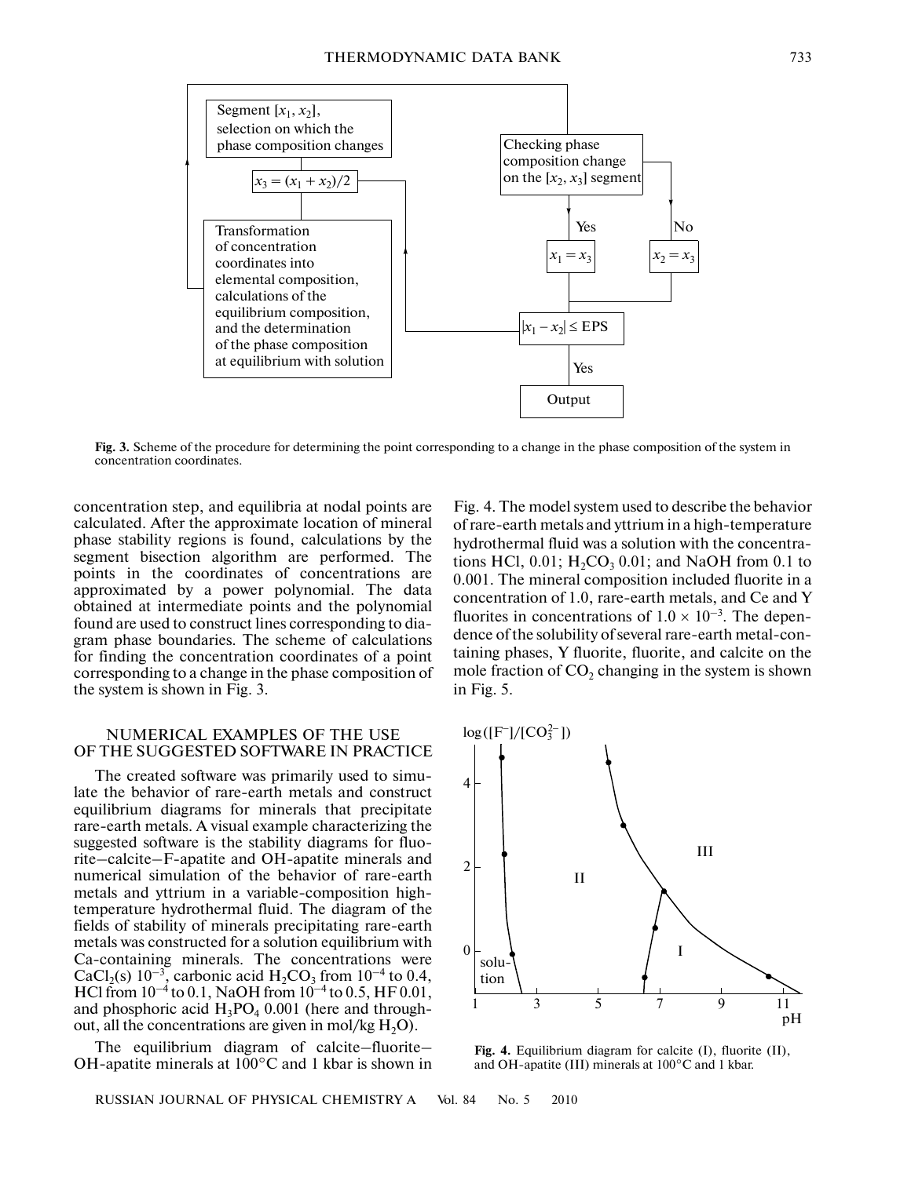

**Fig. 3.** Scheme of the procedure for determining the point corresponding to a change in the phase composition of the system in concentration coordinates.

concentration step, and equilibria at nodal points are calculated. After the approximate location of mineral phase stability regions is found, calculations by the segment bisection algorithm are performed. The points in the coordinates of concentrations are approximated by a power polynomial. The data obtained at intermediate points and the polynomial found are used to construct lines corresponding to diagram phase boundaries. The scheme of calculations for finding the concentration coordinates of a point corresponding to a change in the phase composition of the system is shown in Fig. 3.

#### NUMERICAL EXAMPLES OF THE USE OF THE SUGGESTED SOFTWARE IN PRACTICE

The created software was primarily used to simu late the behavior of rare-earth metals and construct equilibrium diagrams for minerals that precipitate rare-earth metals. A visual example characterizing the suggested software is the stability diagrams for fluo rite–calcite–F-apatite and OH-apatite minerals and numerical simulation of the behavior of rare-earth metals and yttrium in a variable-composition high temperature hydrothermal fluid. The diagram of the fields of stability of minerals precipitating rare-earth metals was constructed for a solution equilibrium with Ca-containing minerals. The concentrations were CaCl<sub>2</sub>(s)  $10^{-3}$ , carbonic acid H<sub>2</sub>CO<sub>3</sub> from  $10^{-4}$  to 0.4, HCl from  $10^{-4}$  to 0.1, NaOH from  $10^{-4}$  to 0.5, HF 0.01, and phosphoric acid  $H_3PO_4$  0.001 (here and throughout, all the concentrations are given in mol/kg  $H_2O$ .

The equilibrium diagram of calcite–fluorite– OH-apatite minerals at 100°C and 1 kbar is shown in

RUSSIAN JOURNAL OF PHYSICAL CHEMISTRY A Vol. 84 No. 5 2010

Fig. 4. The model system used to describe the behavior of rare-earth metals and yttrium in a high-temperature hydrothermal fluid was a solution with the concentra tions HCl,  $0.01$ ;  $H_2CO_3$  0.01; and NaOH from 0.1 to 0.001. The mineral composition included fluorite in a concentration of 1.0, rare-earth metals, and Ce and Y fluorites in concentrations of  $1.0 \times 10^{-3}$ . The dependence of the solubility of several rare-earth metal-con taining phases, Y fluorite, fluorite, and calcite on the mole fraction of  $CO<sub>2</sub>$  changing in the system is shown in Fig. 5.



**Fig. 4.** Equilibrium diagram for calcite (I), fluorite (II), and OH-apatite (III) minerals at 100°C and 1 kbar.